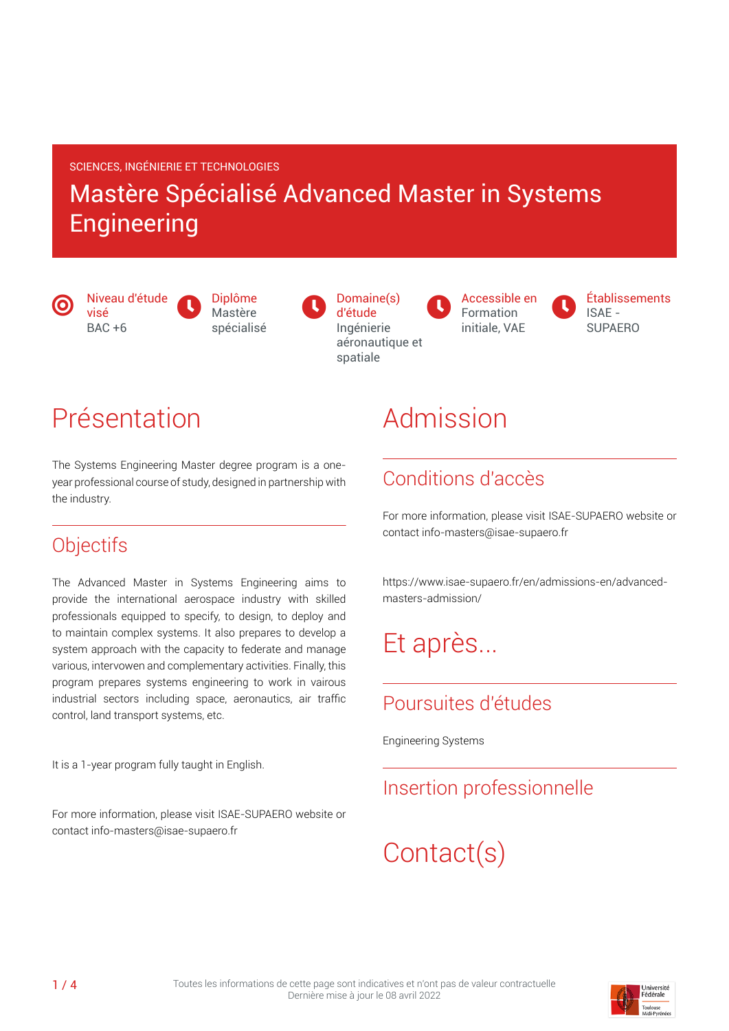#### SCIENCES, INGÉNIERIE ET TECHNOLOGIES

### Mastère Spécialisé Advanced Master in Systems **Engineering**

 $\bm{\copyright}$ 

 $\mathbf 0$ Diplôme Mastère spécialisé

 $\mathbf 0$ Domaine(s) d'étude Ingénierie aéronautique et spatiale

Accessible en Formation initiale, VAE



### Présentation

Niveau d'étude

visé  $BAC +6$ 

The Systems Engineering Master degree program is a oneyear professional course of study, designed in partnership with the industry.

#### **Objectifs**

The Advanced Master in Systems Engineering aims to provide the international aerospace industry with skilled professionals equipped to specify, to design, to deploy and to maintain complex systems. It also prepares to develop a system approach with the capacity to federate and manage various, intervowen and complementary activities. Finally, this program prepares systems engineering to work in vairous industrial sectors including space, aeronautics, air traffic control, land transport systems, etc.

It is a 1-year program fully taught in English.

For more information, please visit ISAE-SUPAERO website or contact info-masters@isae-supaero.fr

## Admission

 $\bullet$ 

### Conditions d'accès

For more information, please visit ISAE-SUPAERO website or contact info-masters@isae-supaero.fr

https://www.isae-supaero.fr/en/admissions-en/advancedmasters-admission/

## Et après...

### Poursuites d'études

Engineering Systems

#### Insertion professionnelle

# Contact(s)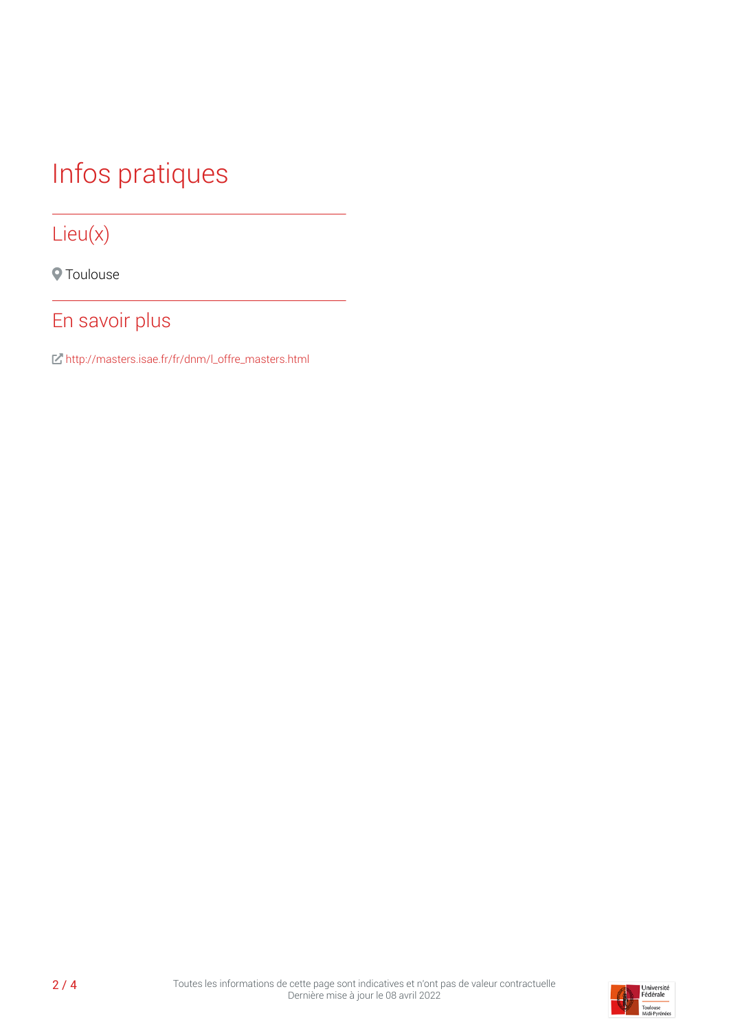# Infos pratiques

### Lieu(x)

**O** Toulouse

### En savoir plus

[http://masters.isae.fr/fr/dnm/l\\_offre\\_masters.html](http://masters.isae.fr/fr/dnm/l_offre_masters.html)

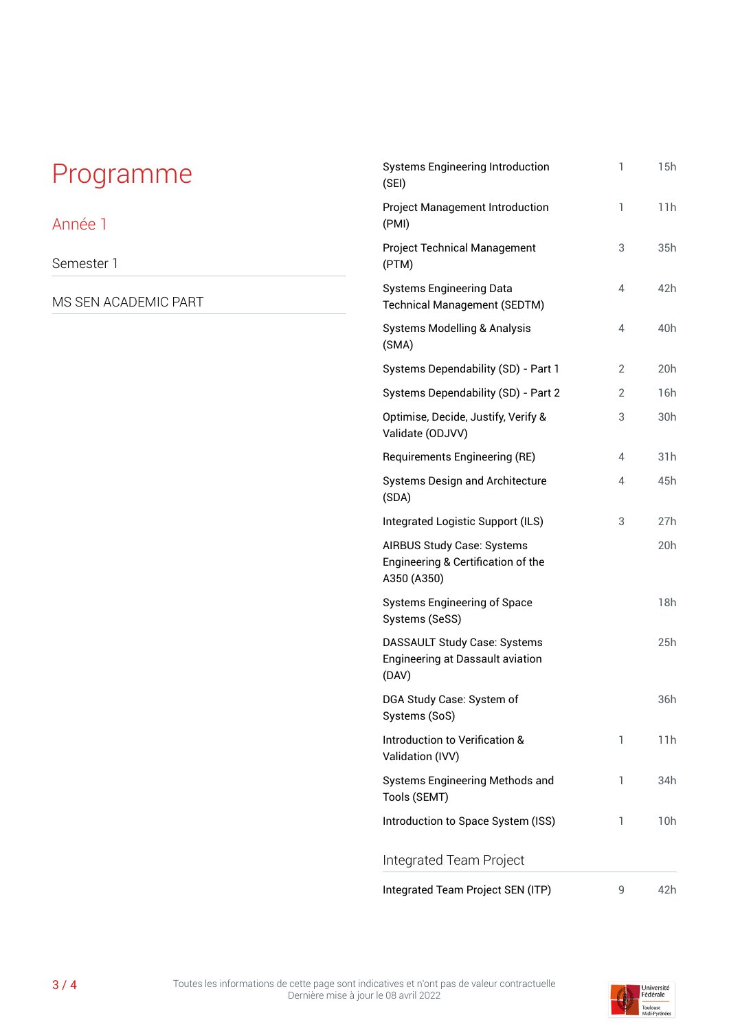## Programme

#### Année 1

Semester 1

MS SEN ACADEMIC PART

| <b>Systems Engineering Introduction</b><br>(SEI)                                | 1 | 15h |
|---------------------------------------------------------------------------------|---|-----|
| <b>Project Management Introduction</b><br>(PMI)                                 | 1 | 11h |
| <b>Project Technical Management</b><br>(PTM)                                    | 3 | 35h |
| <b>Systems Engineering Data</b><br><b>Technical Management (SEDTM)</b>          | 4 | 42h |
| <b>Systems Modelling &amp; Analysis</b><br>(SMA)                                | 4 | 40h |
| Systems Dependability (SD) - Part 1                                             | 2 | 20h |
| Systems Dependability (SD) - Part 2                                             | 2 | 16h |
| Optimise, Decide, Justify, Verify &<br>Validate (ODJVV)                         | 3 | 30h |
| Requirements Engineering (RE)                                                   | 4 | 31h |
| <b>Systems Design and Architecture</b><br>(SDA)                                 | 4 | 45h |
| Integrated Logistic Support (ILS)                                               | 3 | 27h |
| AIRBUS Study Case: Systems<br>Engineering & Certification of the<br>A350 (A350) |   | 20h |
| <b>Systems Engineering of Space</b><br>Systems (SeSS)                           |   | 18h |
| DASSAULT Study Case: Systems<br>Engineering at Dassault aviation<br>(DAV)       |   | 25h |
| DGA Study Case: System of<br>Systems (SoS)                                      |   | 36h |
| Introduction to Verification &<br>Validation (IVV)                              | 1 | 11h |
| <b>Systems Engineering Methods and</b><br>Tools (SEMT)                          | 1 | 34h |
| Introduction to Space System (ISS)                                              | 1 | 10h |
| Integrated Team Project                                                         |   |     |
| Integrated Team Project SEN (ITP)                                               | 9 | 42h |